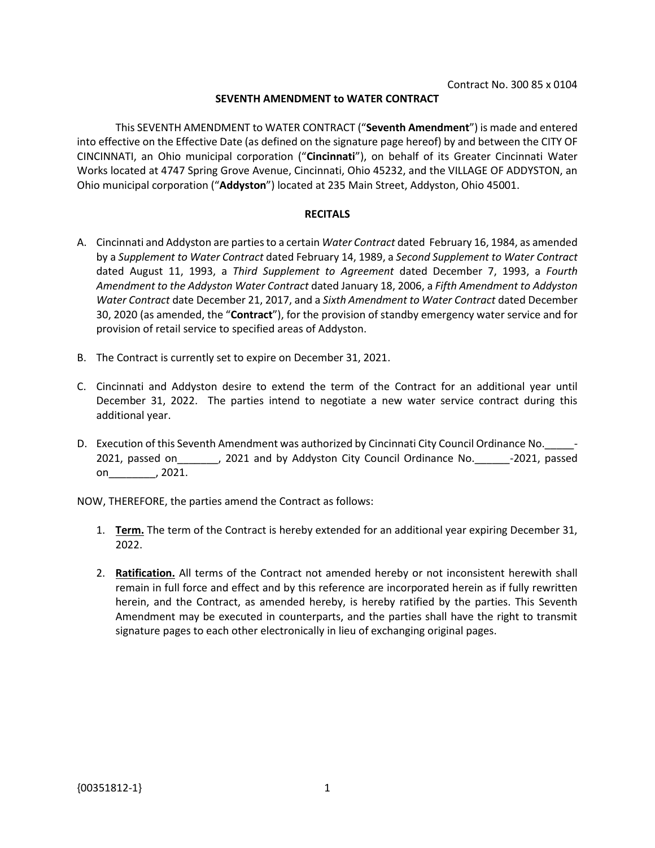## **SEVENTH AMENDMENT to WATER CONTRACT**

This SEVENTH AMENDMENT to WATER CONTRACT ("**Seventh Amendment**") is made and entered into effective on the Effective Date (as defined on the signature page hereof) by and between the CITY OF CINCINNATI, an Ohio municipal corporation ("**Cincinnati**"), on behalf of its Greater Cincinnati Water Works located at 4747 Spring Grove Avenue, Cincinnati, Ohio 45232, and the VILLAGE OF ADDYSTON, an Ohio municipal corporation ("**Addyston**") located at 235 Main Street, Addyston, Ohio 45001.

## **RECITALS**

- A. Cincinnati and Addyston are parties to a certain *Water Contract* dated February 16, 1984, as amended by a *Supplement to Water Contract* dated February 14, 1989, a *Second Supplement to Water Contract*  dated August 11, 1993, a *Third Supplement to Agreement* dated December 7, 1993, a *Fourth Amendment to the Addyston Water Contract* dated January 18, 2006, a *Fifth Amendment to Addyston Water Contract* date December 21, 2017, and a *Sixth Amendment to Water Contract* dated December 30, 2020 (as amended, the "**Contract**"), for the provision of standby emergency water service and for provision of retail service to specified areas of Addyston.
- B. The Contract is currently set to expire on December 31, 2021.
- C. Cincinnati and Addyston desire to extend the term of the Contract for an additional year until December 31, 2022. The parties intend to negotiate a new water service contract during this additional year.
- D. Execution of this Seventh Amendment was authorized by Cincinnati City Council Ordinance No. 2021, passed on\_\_\_\_\_\_\_, 2021 and by Addyston City Council Ordinance No.\_\_\_\_\_\_-2021, passed on\_\_\_\_\_\_\_\_, 2021.

NOW, THEREFORE, the parties amend the Contract as follows:

- 1. **Term.** The term of the Contract is hereby extended for an additional year expiring December 31, 2022.
- 2. **Ratification.** All terms of the Contract not amended hereby or not inconsistent herewith shall remain in full force and effect and by this reference are incorporated herein as if fully rewritten herein, and the Contract, as amended hereby, is hereby ratified by the parties. This Seventh Amendment may be executed in counterparts, and the parties shall have the right to transmit signature pages to each other electronically in lieu of exchanging original pages.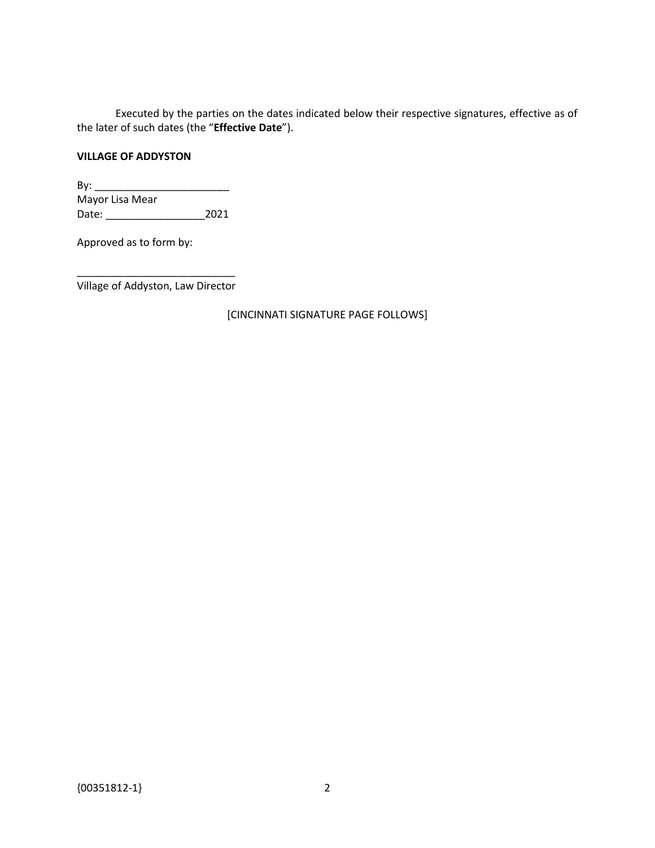Executed by the parties on the dates indicated below their respective signatures, effective as of the later of such dates (the "**Effective Date**").

## **VILLAGE OF ADDYSTON**

By: \_\_\_\_\_\_\_\_\_\_\_\_\_\_\_\_\_\_\_\_\_\_\_ Mayor Lisa Mear Date: \_\_\_\_\_\_\_\_\_\_\_\_\_\_\_\_\_2021

Approved as to form by:

\_\_\_\_\_\_\_\_\_\_\_\_\_\_\_\_\_\_\_\_\_\_\_\_\_\_\_ Village of Addyston, Law Director

[CINCINNATI SIGNATURE PAGE FOLLOWS]